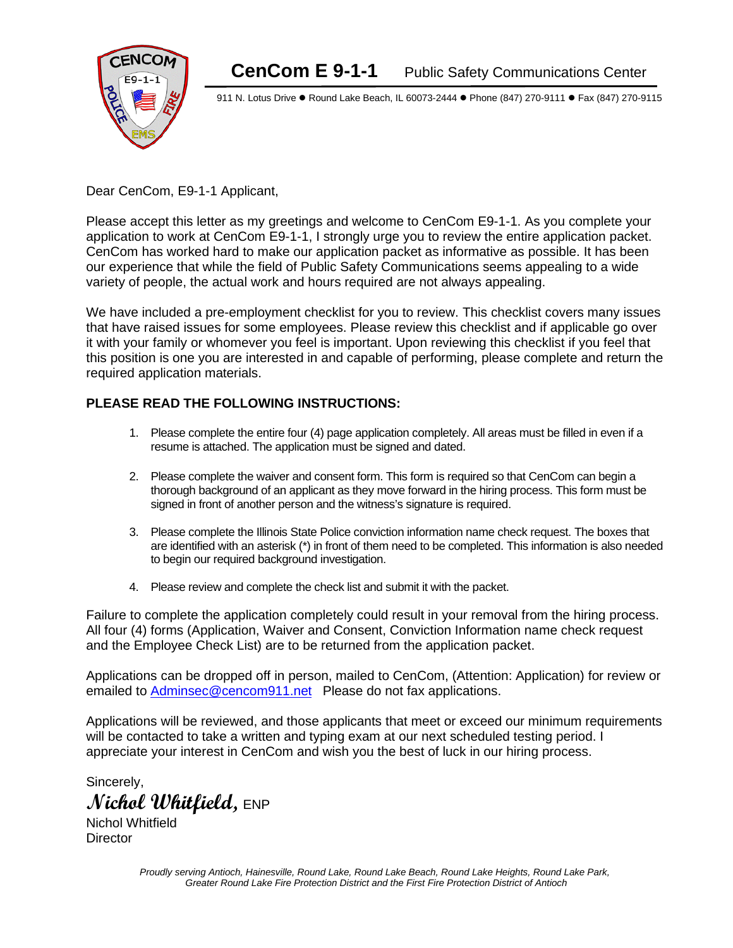

911 N. Lotus Drive . Round Lake Beach, IL 60073-2444 . Phone (847) 270-9111 . Fax (847) 270-9115

Dear CenCom, E9-1-1 Applicant,

Please accept this letter as my greetings and welcome to CenCom E9-1-1. As you complete your application to work at CenCom E9-1-1, I strongly urge you to review the entire application packet. CenCom has worked hard to make our application packet as informative as possible. It has been our experience that while the field of Public Safety Communications seems appealing to a wide variety of people, the actual work and hours required are not always appealing.

We have included a pre-employment checklist for you to review. This checklist covers many issues that have raised issues for some employees. Please review this checklist and if applicable go over it with your family or whomever you feel is important. Upon reviewing this checklist if you feel that this position is one you are interested in and capable of performing, please complete and return the required application materials.

# **PLEASE READ THE FOLLOWING INSTRUCTIONS:**

- 1. Please complete the entire four (4) page application completely. All areas must be filled in even if a resume is attached. The application must be signed and dated.
- 2. Please complete the waiver and consent form. This form is required so that CenCom can begin a thorough background of an applicant as they move forward in the hiring process. This form must be signed in front of another person and the witness's signature is required.
- 3. Please complete the Illinois State Police conviction information name check request. The boxes that are identified with an asterisk (\*) in front of them need to be completed. This information is also needed to begin our required background investigation.
- 4. Please review and complete the check list and submit it with the packet.

Failure to complete the application completely could result in your removal from the hiring process. All four (4) forms (Application, Waiver and Consent, Conviction Information name check request and the Employee Check List) are to be returned from the application packet.

Applications can be dropped off in person, mailed to CenCom, (Attention: Application) for review or emailed to [Adminsec@cencom911.net](mailto:Adminsec@cencom911.net) Please do not fax applications.

Applications will be reviewed, and those applicants that meet or exceed our minimum requirements will be contacted to take a written and typing exam at our next scheduled testing period. I appreciate your interest in CenCom and wish you the best of luck in our hiring process.

Sincerely, **Nichol Whitfield,** ENP

Nichol Whitfield **Director**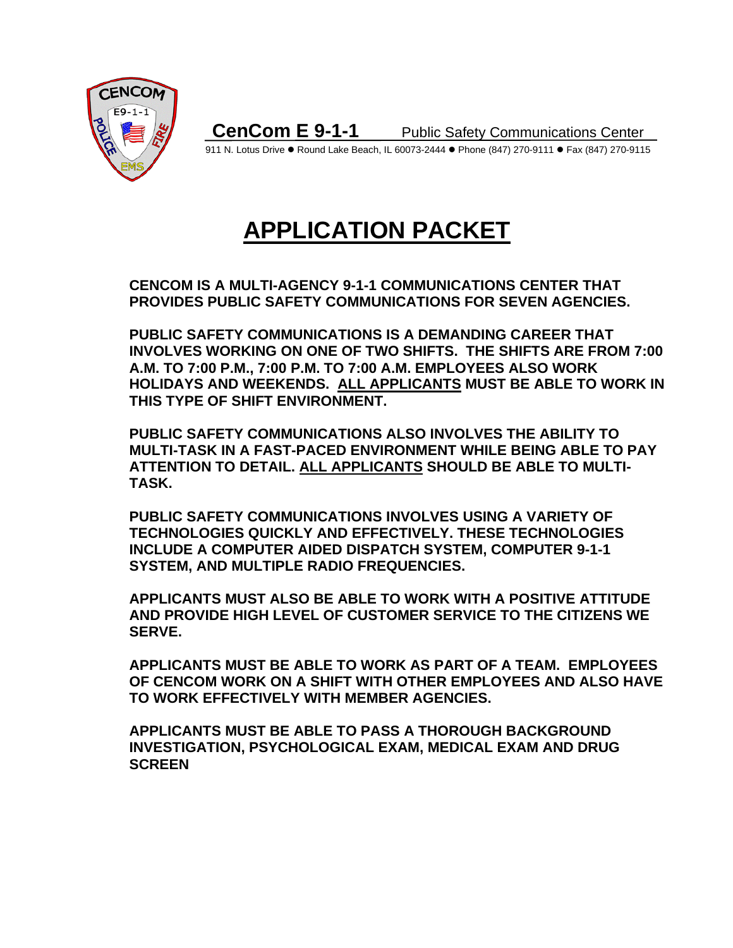

911 N. Lotus Drive . Round Lake Beach, IL 60073-2444 . Phone (847) 270-9111 . Fax (847) 270-9115

# **APPLICATION PACKET**

**CENCOM IS A MULTI-AGENCY 9-1-1 COMMUNICATIONS CENTER THAT PROVIDES PUBLIC SAFETY COMMUNICATIONS FOR SEVEN AGENCIES.** 

**PUBLIC SAFETY COMMUNICATIONS IS A DEMANDING CAREER THAT INVOLVES WORKING ON ONE OF TWO SHIFTS. THE SHIFTS ARE FROM 7:00 A.M. TO 7:00 P.M., 7:00 P.M. TO 7:00 A.M. EMPLOYEES ALSO WORK HOLIDAYS AND WEEKENDS. ALL APPLICANTS MUST BE ABLE TO WORK IN THIS TYPE OF SHIFT ENVIRONMENT.** 

**PUBLIC SAFETY COMMUNICATIONS ALSO INVOLVES THE ABILITY TO MULTI-TASK IN A FAST-PACED ENVIRONMENT WHILE BEING ABLE TO PAY ATTENTION TO DETAIL. ALL APPLICANTS SHOULD BE ABLE TO MULTI-TASK.**

**PUBLIC SAFETY COMMUNICATIONS INVOLVES USING A VARIETY OF TECHNOLOGIES QUICKLY AND EFFECTIVELY. THESE TECHNOLOGIES INCLUDE A COMPUTER AIDED DISPATCH SYSTEM, COMPUTER 9-1-1 SYSTEM, AND MULTIPLE RADIO FREQUENCIES.**

**APPLICANTS MUST ALSO BE ABLE TO WORK WITH A POSITIVE ATTITUDE AND PROVIDE HIGH LEVEL OF CUSTOMER SERVICE TO THE CITIZENS WE SERVE.**

**APPLICANTS MUST BE ABLE TO WORK AS PART OF A TEAM. EMPLOYEES OF CENCOM WORK ON A SHIFT WITH OTHER EMPLOYEES AND ALSO HAVE TO WORK EFFECTIVELY WITH MEMBER AGENCIES.** 

**APPLICANTS MUST BE ABLE TO PASS A THOROUGH BACKGROUND INVESTIGATION, PSYCHOLOGICAL EXAM, MEDICAL EXAM AND DRUG SCREEN**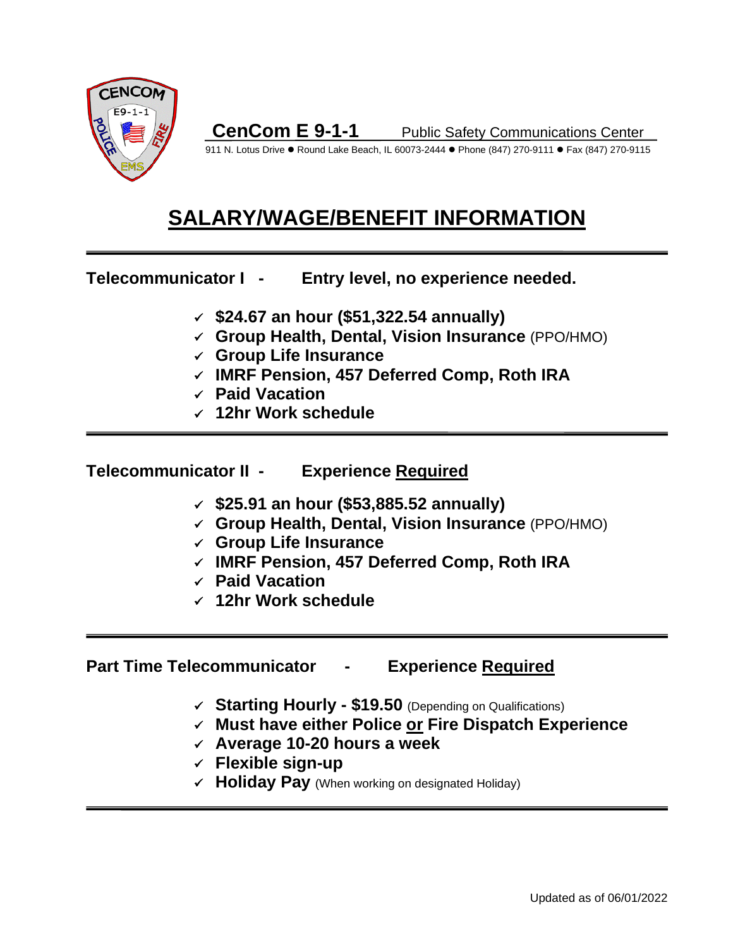

911 N. Lotus Drive . Round Lake Beach, IL 60073-2444 . Phone (847) 270-9111 . Fax (847) 270-9115

# **SALARY/WAGE/BENEFIT INFORMATION**

**Telecommunicator I - Entry level, no experience needed.**

- **\$24.67 an hour (\$51,322.54 annually)**
- **Group Health, Dental, Vision Insurance** (PPO/HMO)
- **Group Life Insurance**
- **IMRF Pension, 457 Deferred Comp, Roth IRA**
- **Paid Vacation**
- **12hr Work schedule**

# **Telecommunicator II - Experience Required**

- **\$25.91 an hour (\$53,885.52 annually)**
- **Group Health, Dental, Vision Insurance** (PPO/HMO)
- **Group Life Insurance**
- **IMRF Pension, 457 Deferred Comp, Roth IRA**
- **Paid Vacation**
- **12hr Work schedule**

# **Part Time Telecommunicator - Experience Required**

- **Starting Hourly - \$19.50** (Depending on Qualifications)
- **Must have either Police or Fire Dispatch Experience**
- **Average 10-20 hours a week**
- **Flexible sign-up**
- $\checkmark$  **Holiday Pay** (When working on designated Holiday)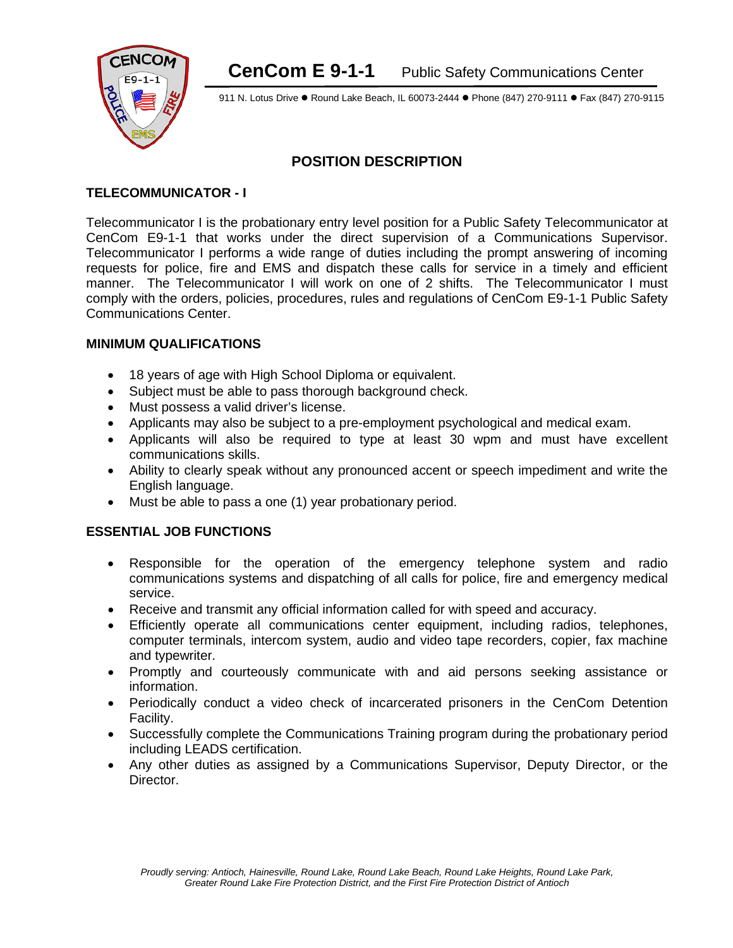

911 N. Lotus Drive . Round Lake Beach, IL 60073-2444 . Phone (847) 270-9111 . Fax (847) 270-9115

## **POSITION DESCRIPTION**

#### **TELECOMMUNICATOR - I**

Telecommunicator I is the probationary entry level position for a Public Safety Telecommunicator at CenCom E9-1-1 that works under the direct supervision of a Communications Supervisor. Telecommunicator I performs a wide range of duties including the prompt answering of incoming requests for police, fire and EMS and dispatch these calls for service in a timely and efficient manner. The Telecommunicator I will work on one of 2 shifts. The Telecommunicator I must comply with the orders, policies, procedures, rules and regulations of CenCom E9-1-1 Public Safety Communications Center.

#### **MINIMUM QUALIFICATIONS**

- 18 years of age with High School Diploma or equivalent.
- Subject must be able to pass thorough background check.
- Must possess a valid driver's license.
- Applicants may also be subject to a pre-employment psychological and medical exam.
- Applicants will also be required to type at least 30 wpm and must have excellent communications skills.
- Ability to clearly speak without any pronounced accent or speech impediment and write the English language.
- Must be able to pass a one (1) year probationary period.

#### **ESSENTIAL JOB FUNCTIONS**

- Responsible for the operation of the emergency telephone system and radio communications systems and dispatching of all calls for police, fire and emergency medical service.
- Receive and transmit any official information called for with speed and accuracy.
- Efficiently operate all communications center equipment, including radios, telephones, computer terminals, intercom system, audio and video tape recorders, copier, fax machine and typewriter.
- Promptly and courteously communicate with and aid persons seeking assistance or information.
- Periodically conduct a video check of incarcerated prisoners in the CenCom Detention Facility.
- Successfully complete the Communications Training program during the probationary period including LEADS certification.
- Any other duties as assigned by a Communications Supervisor, Deputy Director, or the Director.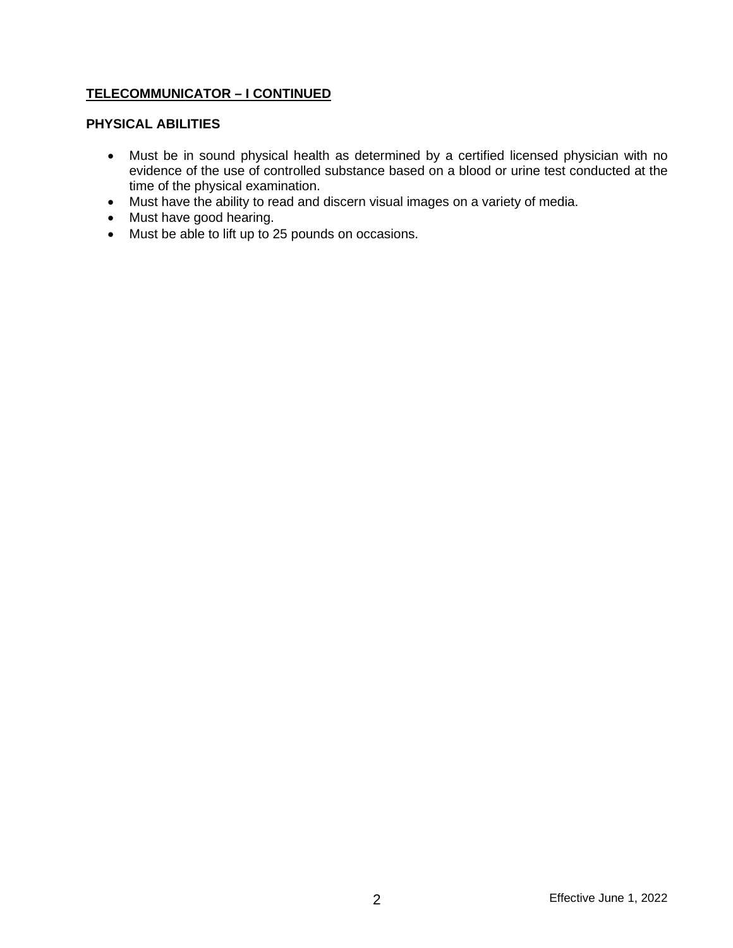#### **TELECOMMUNICATOR – I CONTINUED**

#### **PHYSICAL ABILITIES**

- Must be in sound physical health as determined by a certified licensed physician with no evidence of the use of controlled substance based on a blood or urine test conducted at the time of the physical examination.
- Must have the ability to read and discern visual images on a variety of media.
- Must have good hearing.
- Must be able to lift up to 25 pounds on occasions.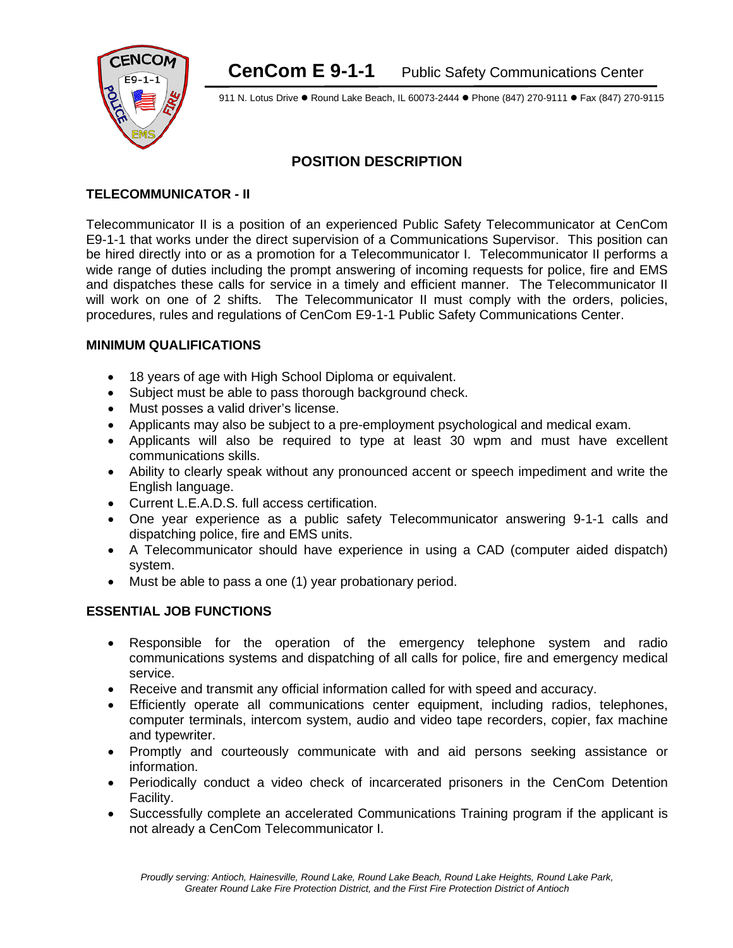

911 N. Lotus Drive . Round Lake Beach, IL 60073-2444 . Phone (847) 270-9111 . Fax (847) 270-9115

## **POSITION DESCRIPTION**

#### **TELECOMMUNICATOR - II**

Telecommunicator II is a position of an experienced Public Safety Telecommunicator at CenCom E9-1-1 that works under the direct supervision of a Communications Supervisor. This position can be hired directly into or as a promotion for a Telecommunicator I. Telecommunicator II performs a wide range of duties including the prompt answering of incoming requests for police, fire and EMS and dispatches these calls for service in a timely and efficient manner. The Telecommunicator II will work on one of 2 shifts. The Telecommunicator II must comply with the orders, policies, procedures, rules and regulations of CenCom E9-1-1 Public Safety Communications Center.

#### **MINIMUM QUALIFICATIONS**

- 18 years of age with High School Diploma or equivalent.
- Subject must be able to pass thorough background check.
- Must posses a valid driver's license.
- Applicants may also be subject to a pre-employment psychological and medical exam.
- Applicants will also be required to type at least 30 wpm and must have excellent communications skills.
- Ability to clearly speak without any pronounced accent or speech impediment and write the English language.
- Current L.E.A.D.S. full access certification.
- One year experience as a public safety Telecommunicator answering 9-1-1 calls and dispatching police, fire and EMS units.
- A Telecommunicator should have experience in using a CAD (computer aided dispatch) system.
- Must be able to pass a one (1) year probationary period.

#### **ESSENTIAL JOB FUNCTIONS**

- Responsible for the operation of the emergency telephone system and radio communications systems and dispatching of all calls for police, fire and emergency medical service.
- Receive and transmit any official information called for with speed and accuracy.
- Efficiently operate all communications center equipment, including radios, telephones, computer terminals, intercom system, audio and video tape recorders, copier, fax machine and typewriter.
- Promptly and courteously communicate with and aid persons seeking assistance or information.
- Periodically conduct a video check of incarcerated prisoners in the CenCom Detention Facility.
- Successfully complete an accelerated Communications Training program if the applicant is not already a CenCom Telecommunicator I.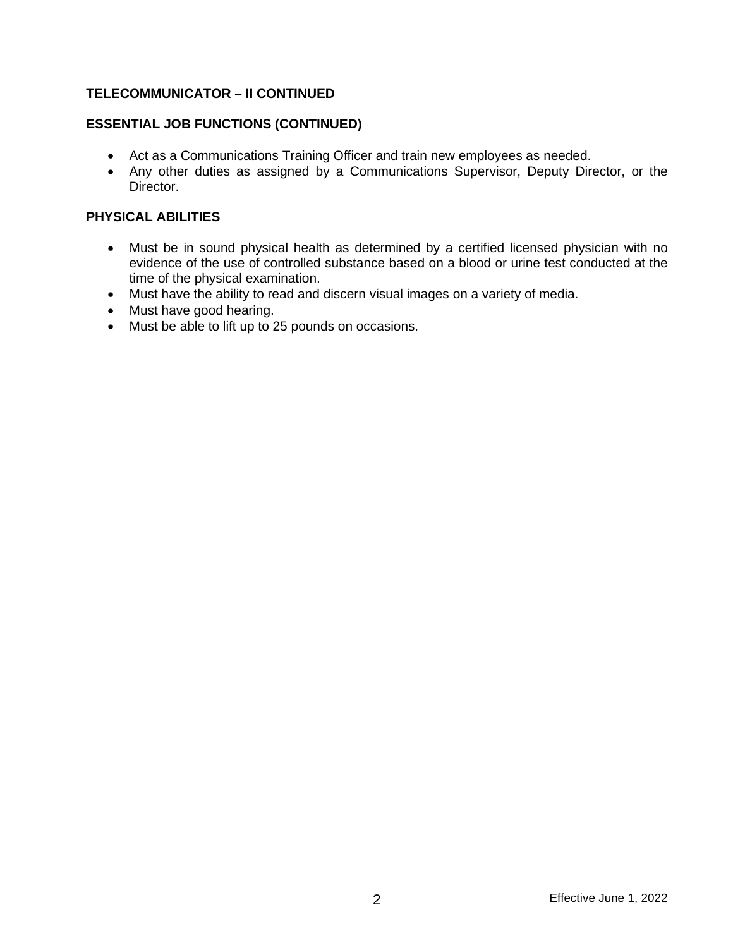#### **TELECOMMUNICATOR – II CONTINUED**

### **ESSENTIAL JOB FUNCTIONS (CONTINUED)**

- Act as a Communications Training Officer and train new employees as needed.
- Any other duties as assigned by a Communications Supervisor, Deputy Director, or the Director.

#### **PHYSICAL ABILITIES**

- Must be in sound physical health as determined by a certified licensed physician with no evidence of the use of controlled substance based on a blood or urine test conducted at the time of the physical examination.
- Must have the ability to read and discern visual images on a variety of media.
- Must have good hearing.
- Must be able to lift up to 25 pounds on occasions.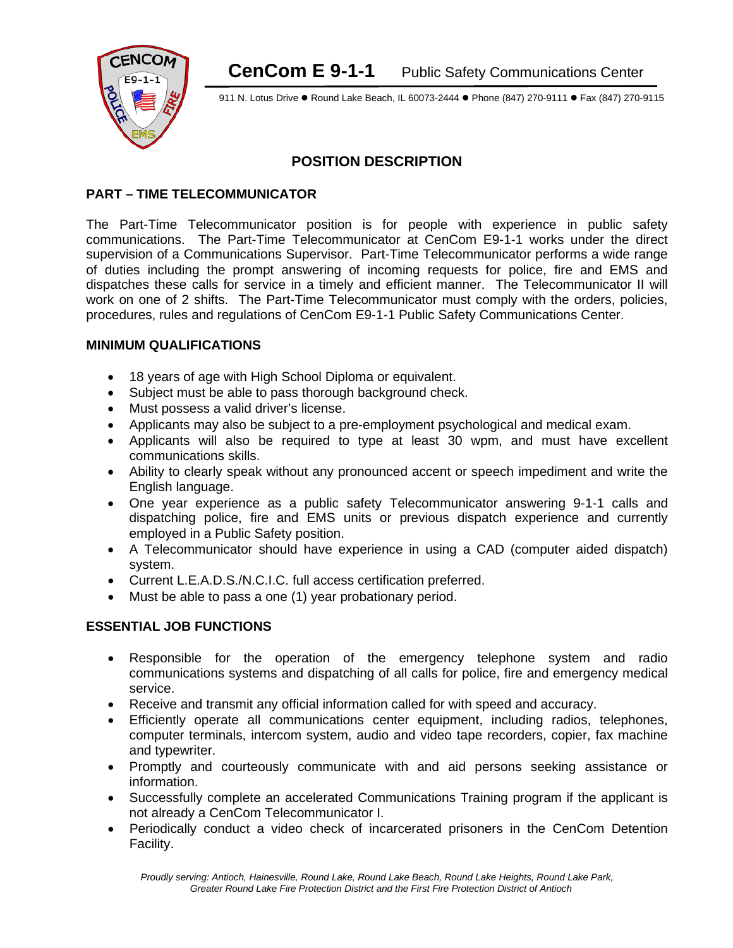

911 N. Lotus Drive . Round Lake Beach, IL 60073-2444 . Phone (847) 270-9111 . Fax (847) 270-9115

# **POSITION DESCRIPTION**

#### **PART – TIME TELECOMMUNICATOR**

The Part-Time Telecommunicator position is for people with experience in public safety communications. The Part-Time Telecommunicator at CenCom E9-1-1 works under the direct supervision of a Communications Supervisor. Part-Time Telecommunicator performs a wide range of duties including the prompt answering of incoming requests for police, fire and EMS and dispatches these calls for service in a timely and efficient manner. The Telecommunicator II will work on one of 2 shifts. The Part-Time Telecommunicator must comply with the orders, policies, procedures, rules and regulations of CenCom E9-1-1 Public Safety Communications Center.

#### **MINIMUM QUALIFICATIONS**

- 18 years of age with High School Diploma or equivalent.
- Subject must be able to pass thorough background check.
- Must possess a valid driver's license.
- Applicants may also be subject to a pre-employment psychological and medical exam.
- Applicants will also be required to type at least 30 wpm, and must have excellent communications skills.
- Ability to clearly speak without any pronounced accent or speech impediment and write the English language.
- One year experience as a public safety Telecommunicator answering 9-1-1 calls and dispatching police, fire and EMS units or previous dispatch experience and currently employed in a Public Safety position.
- A Telecommunicator should have experience in using a CAD (computer aided dispatch) system.
- Current L.E.A.D.S./N.C.I.C. full access certification preferred.
- Must be able to pass a one (1) year probationary period.

#### **ESSENTIAL JOB FUNCTIONS**

- Responsible for the operation of the emergency telephone system and radio communications systems and dispatching of all calls for police, fire and emergency medical service.
- Receive and transmit any official information called for with speed and accuracy.
- Efficiently operate all communications center equipment, including radios, telephones, computer terminals, intercom system, audio and video tape recorders, copier, fax machine and typewriter.
- Promptly and courteously communicate with and aid persons seeking assistance or information.
- Successfully complete an accelerated Communications Training program if the applicant is not already a CenCom Telecommunicator I.
- Periodically conduct a video check of incarcerated prisoners in the CenCom Detention Facility.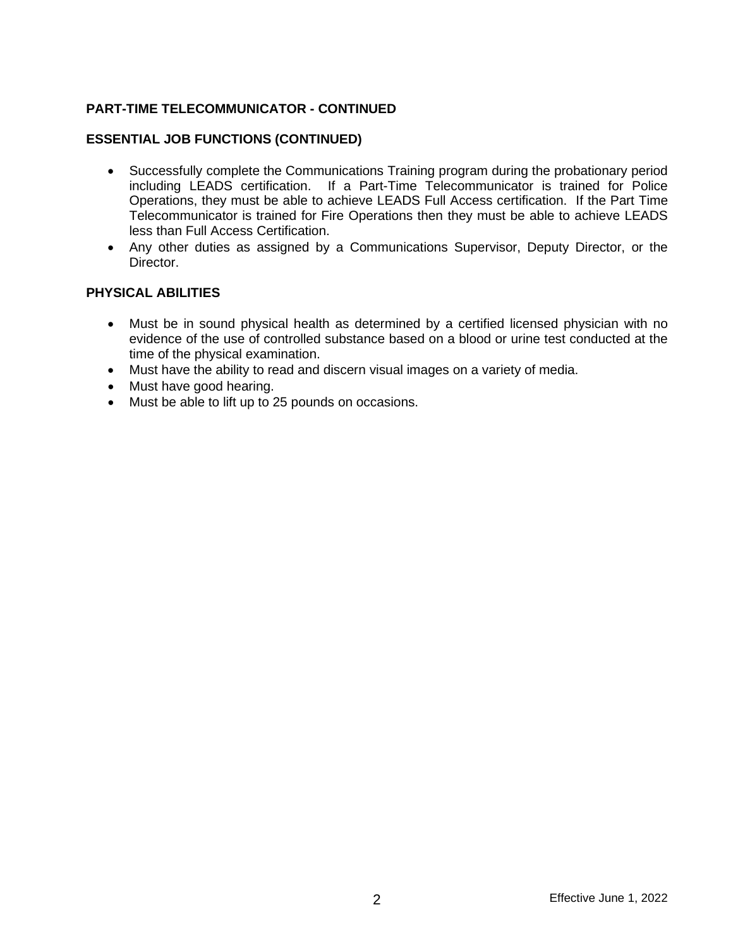#### **PART-TIME TELECOMMUNICATOR - CONTINUED**

#### **ESSENTIAL JOB FUNCTIONS (CONTINUED)**

- Successfully complete the Communications Training program during the probationary period including LEADS certification. If a Part-Time Telecommunicator is trained for Police Operations, they must be able to achieve LEADS Full Access certification. If the Part Time Telecommunicator is trained for Fire Operations then they must be able to achieve LEADS less than Full Access Certification.
- Any other duties as assigned by a Communications Supervisor, Deputy Director, or the Director.

#### **PHYSICAL ABILITIES**

- Must be in sound physical health as determined by a certified licensed physician with no evidence of the use of controlled substance based on a blood or urine test conducted at the time of the physical examination.
- Must have the ability to read and discern visual images on a variety of media.
- Must have good hearing.
- Must be able to lift up to 25 pounds on occasions.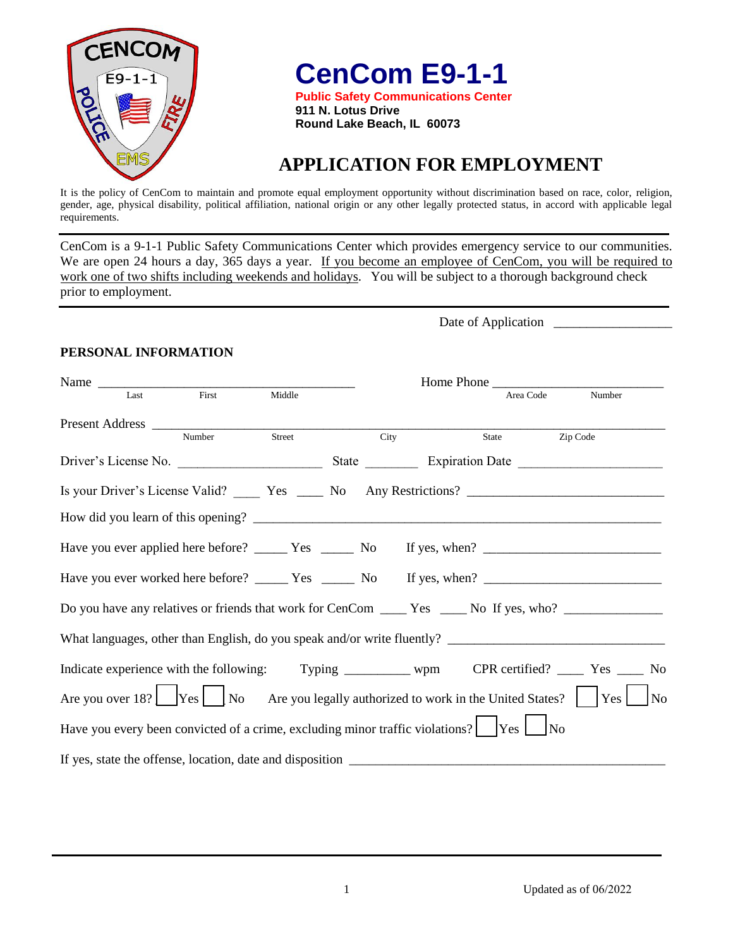

**CenCom E9-1-1**

**Public Safety Communications Center 911 N. Lotus Drive Round Lake Beach, IL 60073** 

# **APPLICATION FOR EMPLOYMENT**

It is the policy of CenCom to maintain and promote equal employment opportunity without discrimination based on race, color, religion, gender, age, physical disability, political affiliation, national origin or any other legally protected status, in accord with applicable legal requirements.

CenCom is a 9-1-1 Public Safety Communications Center which provides emergency service to our communities. We are open 24 hours a day, 365 days a year. If you become an employee of CenCom, you will be required to work one of two shifts including weekends and holidays. You will be subject to a thorough background check prior to employment.

Date of Application \_

#### **PERSONAL INFORMATION**

| Name $\frac{1}{\sqrt{1-\frac{1}{2}}\left\vert \frac{1}{2}\right\vert }$ |       |        |                                                                                                    | Home Phone |                                                                                                                     |
|-------------------------------------------------------------------------|-------|--------|----------------------------------------------------------------------------------------------------|------------|---------------------------------------------------------------------------------------------------------------------|
| Last                                                                    | First | Middle |                                                                                                    | Area Code  | Number                                                                                                              |
|                                                                         |       |        | City                                                                                               | State      | Zip Code                                                                                                            |
|                                                                         |       |        |                                                                                                    |            |                                                                                                                     |
|                                                                         |       |        |                                                                                                    |            |                                                                                                                     |
|                                                                         |       |        |                                                                                                    |            |                                                                                                                     |
|                                                                         |       |        |                                                                                                    |            |                                                                                                                     |
|                                                                         |       |        |                                                                                                    |            |                                                                                                                     |
|                                                                         |       |        |                                                                                                    |            | Do you have any relatives or friends that work for CenCom _____ Yes _____ No If yes, who? ________________          |
|                                                                         |       |        |                                                                                                    |            |                                                                                                                     |
|                                                                         |       |        |                                                                                                    |            | Indicate experience with the following: Typing ________ wpm CPR certified? ____ Yes ____ No                         |
|                                                                         |       |        |                                                                                                    |            | Are you over 18? $\Box$ Yes $\Box$ No Are you legally authorized to work in the United States? $\Box$ Yes $\Box$ No |
|                                                                         |       |        | Have you every been convicted of a crime, excluding minor traffic violations? $\Box$ Yes $\Box$ No |            |                                                                                                                     |
|                                                                         |       |        |                                                                                                    |            |                                                                                                                     |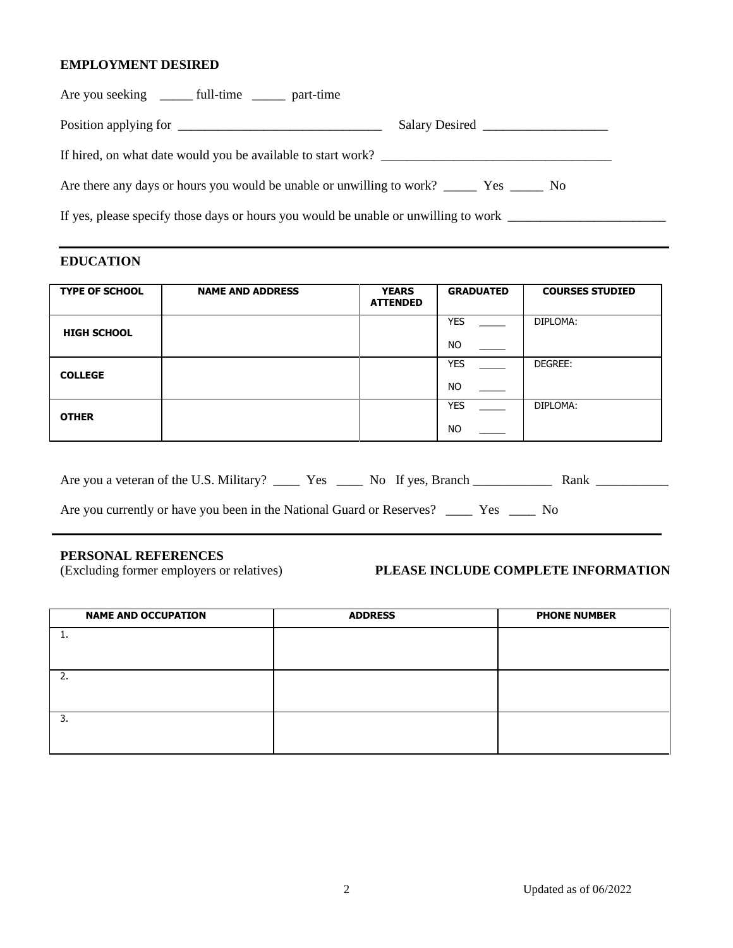#### **EMPLOYMENT DESIRED**

| Are you seeking ________ full-time ________ part-time                               |  |  |  |  |
|-------------------------------------------------------------------------------------|--|--|--|--|
|                                                                                     |  |  |  |  |
|                                                                                     |  |  |  |  |
|                                                                                     |  |  |  |  |
| If yes, please specify those days or hours you would be unable or unwilling to work |  |  |  |  |
|                                                                                     |  |  |  |  |

#### **EDUCATION**

| <b>TYPE OF SCHOOL</b> | <b>NAME AND ADDRESS</b> | <b>YEARS</b><br><b>ATTENDED</b> | <b>GRADUATED</b>        | <b>COURSES STUDIED</b> |
|-----------------------|-------------------------|---------------------------------|-------------------------|------------------------|
| <b>HIGH SCHOOL</b>    |                         |                                 | <b>YES</b><br><b>NO</b> | DIPLOMA:               |
|                       |                         |                                 | <b>YES</b>              | DEGREE:                |
| <b>COLLEGE</b>        |                         |                                 | <b>NO</b>               |                        |
| <b>OTHER</b>          |                         |                                 | <b>YES</b>              | DIPLOMA:               |
|                       |                         |                                 | <b>NO</b>               |                        |

| Are you a veteran of the U.S. Military? | Y es- | No If yes. Branch |  |
|-----------------------------------------|-------|-------------------|--|
|-----------------------------------------|-------|-------------------|--|

Are you currently or have you been in the National Guard or Reserves? \_\_\_\_\_ Yes \_\_\_\_ No

**PERSONAL REFERENCES**<br>(Excluding former employers or relatives)

#### **PLEASE INCLUDE COMPLETE INFORMATION**

| <b>NAME AND OCCUPATION</b> | <b>ADDRESS</b> | <b>PHONE NUMBER</b> |
|----------------------------|----------------|---------------------|
|                            |                |                     |
|                            |                |                     |
|                            |                |                     |
|                            |                |                     |
| 3.                         |                |                     |
|                            |                |                     |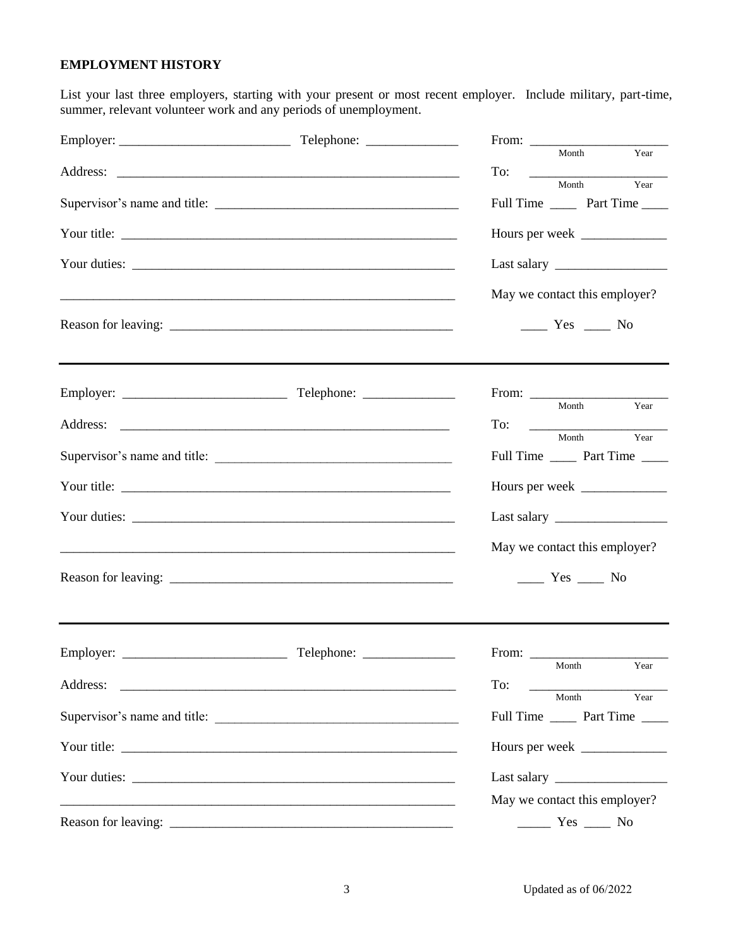#### **EMPLOYMENT HISTORY**

List your last three employers, starting with your present or most recent employer. Include military, part-time, summer, relevant volunteer work and any periods of unemployment.

|                              |                                                                                                                                                                                                                                      | $\frac{1}{\text{Year}}$<br>Month                                               |
|------------------------------|--------------------------------------------------------------------------------------------------------------------------------------------------------------------------------------------------------------------------------------|--------------------------------------------------------------------------------|
|                              |                                                                                                                                                                                                                                      | To:<br>$\frac{M_{\text{out}}}{V_{\text{ear}}}$<br>Year<br>Month                |
|                              |                                                                                                                                                                                                                                      | Full Time _______ Part Time ______                                             |
|                              |                                                                                                                                                                                                                                      |                                                                                |
|                              |                                                                                                                                                                                                                                      |                                                                                |
|                              |                                                                                                                                                                                                                                      | May we contact this employer?                                                  |
|                              |                                                                                                                                                                                                                                      | $\frac{1}{\sqrt{1-\frac{1}{2}}}$ Yes $\frac{1}{\sqrt{1-\frac{1}{2}}}$ No       |
|                              | ,我们也不会有什么。""我们的人,我们也不会有什么?""我们的人,我们也不会有什么?""我们的人,我们也不会有什么?""我们的人,我们也不会有什么?""我们的人                                                                                                                                                     | Year                                                                           |
|                              |                                                                                                                                                                                                                                      | Month<br>$\Gamma$ o: $\begin{array}{ccc}\n\hline\n\hline\n\hline\n\end{array}$ |
| Supervisor's name and title: |                                                                                                                                                                                                                                      | Year<br>Month<br>Full Time ________ Part Time ______                           |
| Your title:                  |                                                                                                                                                                                                                                      |                                                                                |
|                              |                                                                                                                                                                                                                                      |                                                                                |
|                              |                                                                                                                                                                                                                                      | May we contact this employer?                                                  |
|                              |                                                                                                                                                                                                                                      | $\frac{1}{\sqrt{1-\frac{1}{2}}}$ Yes $\frac{1}{\sqrt{1-\frac{1}{2}}}$ No       |
|                              |                                                                                                                                                                                                                                      |                                                                                |
| Address:                     | <u> 1989 - Johann John Stone, markin film ar yn y brenin y brenin y brenin y brenin y brenin y brenin y brenin y</u>                                                                                                                 | Month Year<br>To:                                                              |
| Supervisor's name and title: |                                                                                                                                                                                                                                      | Year<br>Month<br>Full Time ________ Part Time ______                           |
|                              |                                                                                                                                                                                                                                      | Hours per week                                                                 |
|                              |                                                                                                                                                                                                                                      | Last salary                                                                    |
|                              | <u>. In the contract of the contract of the contract of the contract of the contract of the contract of the contract of the contract of the contract of the contract of the contract of the contract of the contract of the cont</u> | May we contact this employer?                                                  |
|                              |                                                                                                                                                                                                                                      | $\frac{\ }{\ }$ Yes $\frac{\ }{\ }$ No                                         |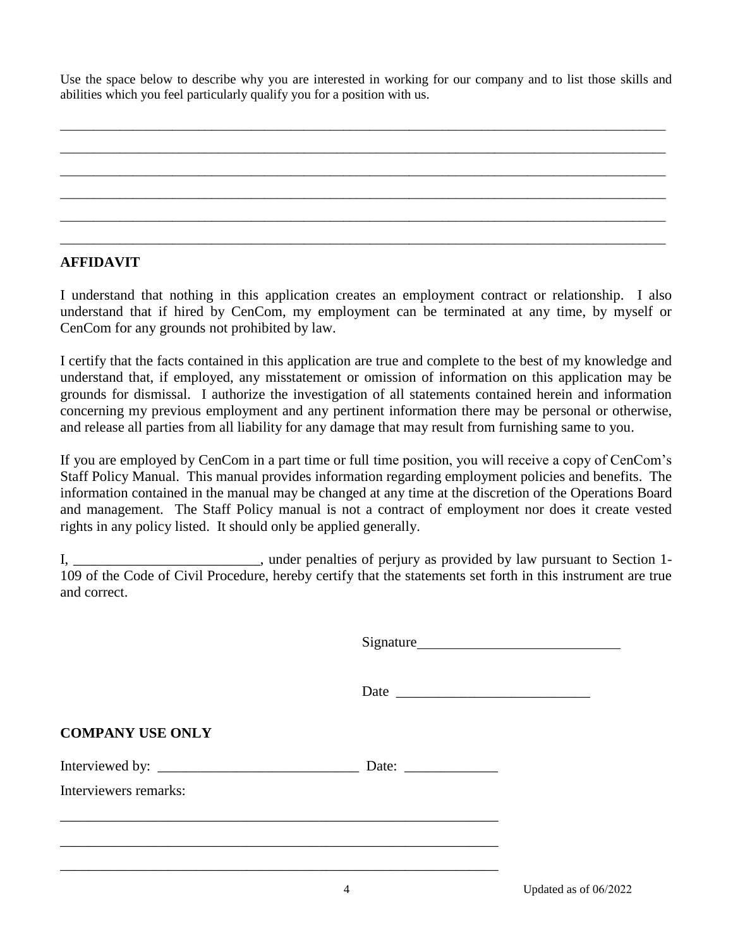Use the space below to describe why you are interested in working for our company and to list those skills and abilities which you feel particularly qualify you for a position with us.

#### **AFFIDAVIT**

I understand that nothing in this application creates an employment contract or relationship. I also understand that if hired by CenCom, my employment can be terminated at any time, by myself or CenCom for any grounds not prohibited by law.

I certify that the facts contained in this application are true and complete to the best of my knowledge and understand that, if employed, any misstatement or omission of information on this application may be grounds for dismissal. I authorize the investigation of all statements contained herein and information concerning my previous employment and any pertinent information there may be personal or otherwise, and release all parties from all liability for any damage that may result from furnishing same to you.

If you are employed by CenCom in a part time or full time position, you will receive a copy of CenCom's Staff Policy Manual. This manual provides information regarding employment policies and benefits. The information contained in the manual may be changed at any time at the discretion of the Operations Board and management. The Staff Policy manual is not a contract of employment nor does it create vested rights in any policy listed. It should only be applied generally.

I, \_\_\_\_\_\_\_\_\_\_\_\_\_\_\_\_\_\_\_\_\_\_\_\_\_\_, under penalties of perjury as provided by law pursuant to Section 1- 109 of the Code of Civil Procedure, hereby certify that the statements set forth in this instrument are true and correct.

Date \_\_\_\_\_\_\_\_\_\_\_\_\_\_\_\_\_\_\_\_\_\_\_\_\_\_\_

**COMPANY USE ONLY** 

Interviewed by: <br>
Date:

\_\_\_\_\_\_\_\_\_\_\_\_\_\_\_\_\_\_\_\_\_\_\_\_\_\_\_\_\_\_\_\_\_\_\_\_\_\_\_\_\_\_\_\_\_\_\_\_\_\_\_\_\_\_\_\_\_\_\_\_\_

\_\_\_\_\_\_\_\_\_\_\_\_\_\_\_\_\_\_\_\_\_\_\_\_\_\_\_\_\_\_\_\_\_\_\_\_\_\_\_\_\_\_\_\_\_\_\_\_\_\_\_\_\_\_\_\_\_\_\_\_\_

\_\_\_\_\_\_\_\_\_\_\_\_\_\_\_\_\_\_\_\_\_\_\_\_\_\_\_\_\_\_\_\_\_\_\_\_\_\_\_\_\_\_\_\_\_\_\_\_\_\_\_\_\_\_\_\_\_\_\_\_\_

Interviewers remarks: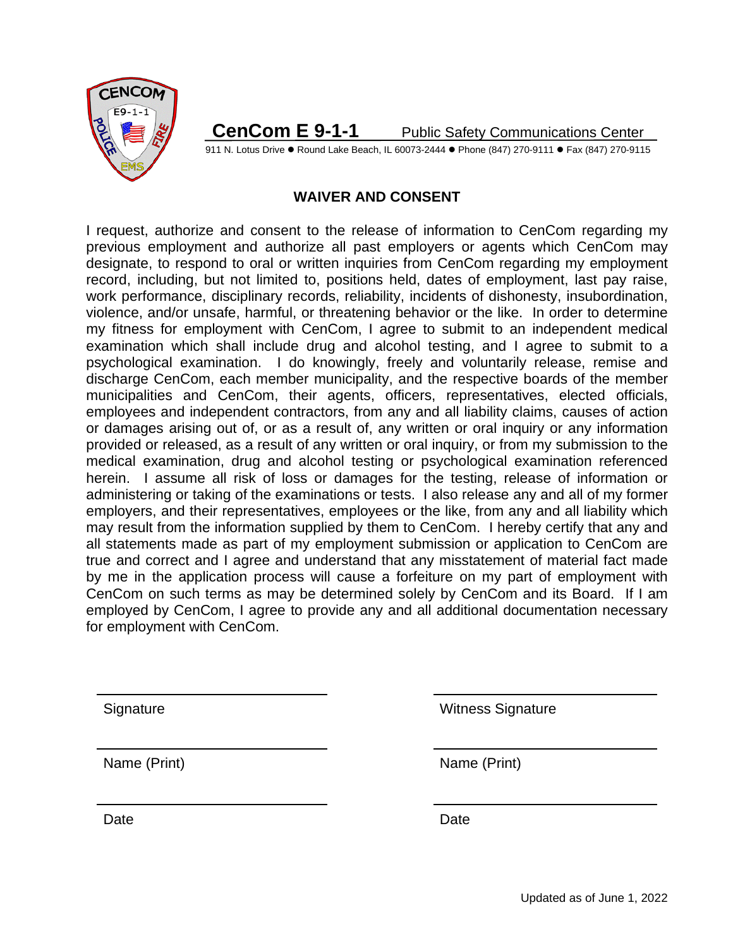

911 N. Lotus Drive • Round Lake Beach, IL 60073-2444 • Phone (847) 270-9111 • Fax (847) 270-9115

# **WAIVER AND CONSENT**

I request, authorize and consent to the release of information to CenCom regarding my previous employment and authorize all past employers or agents which CenCom may designate, to respond to oral or written inquiries from CenCom regarding my employment record, including, but not limited to, positions held, dates of employment, last pay raise, work performance, disciplinary records, reliability, incidents of dishonesty, insubordination, violence, and/or unsafe, harmful, or threatening behavior or the like. In order to determine my fitness for employment with CenCom, I agree to submit to an independent medical examination which shall include drug and alcohol testing, and I agree to submit to a psychological examination. I do knowingly, freely and voluntarily release, remise and discharge CenCom, each member municipality, and the respective boards of the member municipalities and CenCom, their agents, officers, representatives, elected officials, employees and independent contractors, from any and all liability claims, causes of action or damages arising out of, or as a result of, any written or oral inquiry or any information provided or released, as a result of any written or oral inquiry, or from my submission to the medical examination, drug and alcohol testing or psychological examination referenced herein. I assume all risk of loss or damages for the testing, release of information or administering or taking of the examinations or tests. I also release any and all of my former employers, and their representatives, employees or the like, from any and all liability which may result from the information supplied by them to CenCom. I hereby certify that any and all statements made as part of my employment submission or application to CenCom are true and correct and I agree and understand that any misstatement of material fact made by me in the application process will cause a forfeiture on my part of employment with CenCom on such terms as may be determined solely by CenCom and its Board. If I am employed by CenCom, I agree to provide any and all additional documentation necessary for employment with CenCom.

Date **Date Date Date Date Date** 

Signature Witness Signature

Name (Print) Name (Print)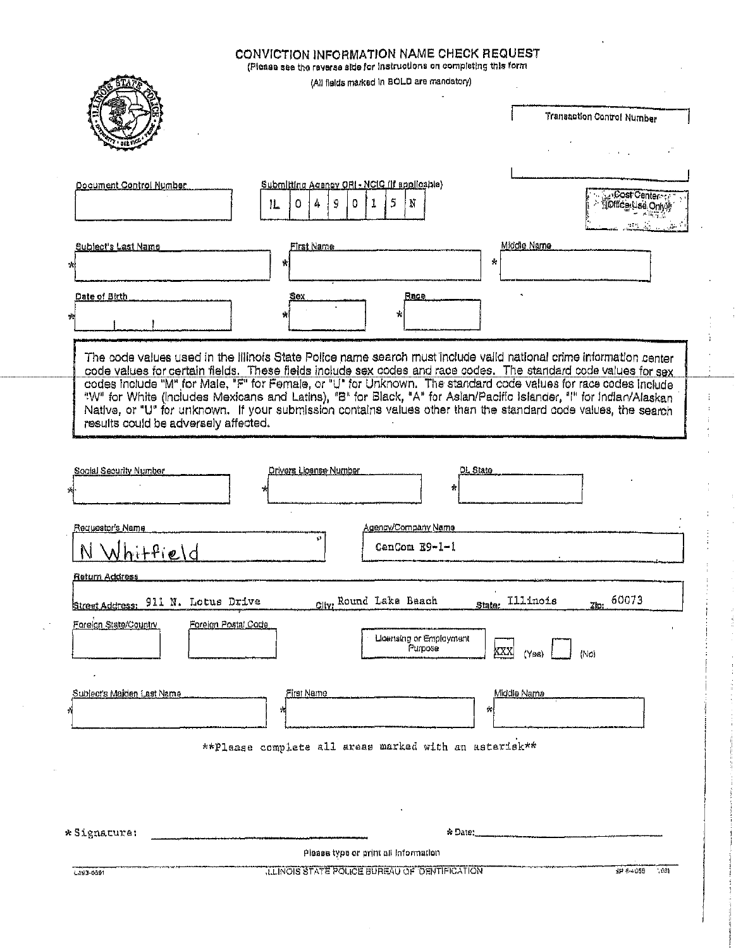|                                                                | CONVICTION INFORMATION NAME CHECK REQUEST<br>(Please see the reverse side for instructions on completing this form<br>(All fields marked in BOLD are mandatory)                                                                                                                                                                                                                                                                                                             |                                             |
|----------------------------------------------------------------|-----------------------------------------------------------------------------------------------------------------------------------------------------------------------------------------------------------------------------------------------------------------------------------------------------------------------------------------------------------------------------------------------------------------------------------------------------------------------------|---------------------------------------------|
|                                                                |                                                                                                                                                                                                                                                                                                                                                                                                                                                                             | Transaction Control Number                  |
| Document Control Number                                        | Submitting Agency ORI - NCIC (if applicable)<br>5<br>4<br>9<br>$\mathbf{1}$<br>0<br>0.<br>Ν<br>1L                                                                                                                                                                                                                                                                                                                                                                           | NCost Center<br><b>JOffice Lise Only !!</b> |
| Subject's Last Name<br>*H<br>Date of Birth                     | First Name<br>ŵ.<br>Race<br>Sex                                                                                                                                                                                                                                                                                                                                                                                                                                             | Middle Name<br>÷.                           |
| 少                                                              | ÷<br>The code values used in the Illinois State Police name search must include valid national crime information center                                                                                                                                                                                                                                                                                                                                                     |                                             |
| results could be adversely affected.                           | code values for certain fields. These fields include sex codes and race codes. The standard code values for sex<br>codes include "M" for Male, "F" for Female, or "U" for Unknown. The standard code values for race codes include<br>"W" for White (Includes Mexicans and Latins), "B" for Black, "A" for Aslan/Pacific Islander, "I" for Indian/Alaskan<br>Native, or "U" for unknown. If your submission contains values other than the standard code values, the search |                                             |
| Social Security Number<br>A                                    | Drivers License Number<br>÷.                                                                                                                                                                                                                                                                                                                                                                                                                                                | DL State                                    |
| Requestor's Name<br>hitfield                                   | Agency/Company Name<br>¥3<br>CanCom E9-1-1                                                                                                                                                                                                                                                                                                                                                                                                                                  |                                             |
| <u>Return Address</u><br>911 N. Lotus Drive<br>Street Address: | City: Round Lake Beach                                                                                                                                                                                                                                                                                                                                                                                                                                                      | 60073<br><b>Illinois</b><br>State:<br>Zlo:  |
| Foreign State/Country<br>Foreign Postal Code                   | Lloensing or Employment<br>Purpose                                                                                                                                                                                                                                                                                                                                                                                                                                          | XXXI<br>(Y <sub>28</sub> )<br>(No)          |
| Sublects Maiden Last Name<br>숴                                 | First Name<br>۰H<br>**Please complete all areas marked with an asterisk**                                                                                                                                                                                                                                                                                                                                                                                                   | Middle Name<br>州                            |
|                                                                |                                                                                                                                                                                                                                                                                                                                                                                                                                                                             |                                             |
| * Signature:                                                   | Please type or print all Information                                                                                                                                                                                                                                                                                                                                                                                                                                        | $*$ Date:                                   |
| 1.393-0891                                                     | LLINOIS STATE POLICE BUREAU OF DENTIFICATION                                                                                                                                                                                                                                                                                                                                                                                                                                | $-0.01$<br>39 8 4058                        |

 $\mathbb{R}^3$ 

 $\mathbb{Z}^2$ 

ţ ì.

ł,

 $\frac{1}{3}$ 

 $\frac{1}{4}$ 

 $\frac{1}{3}$ 

**Control**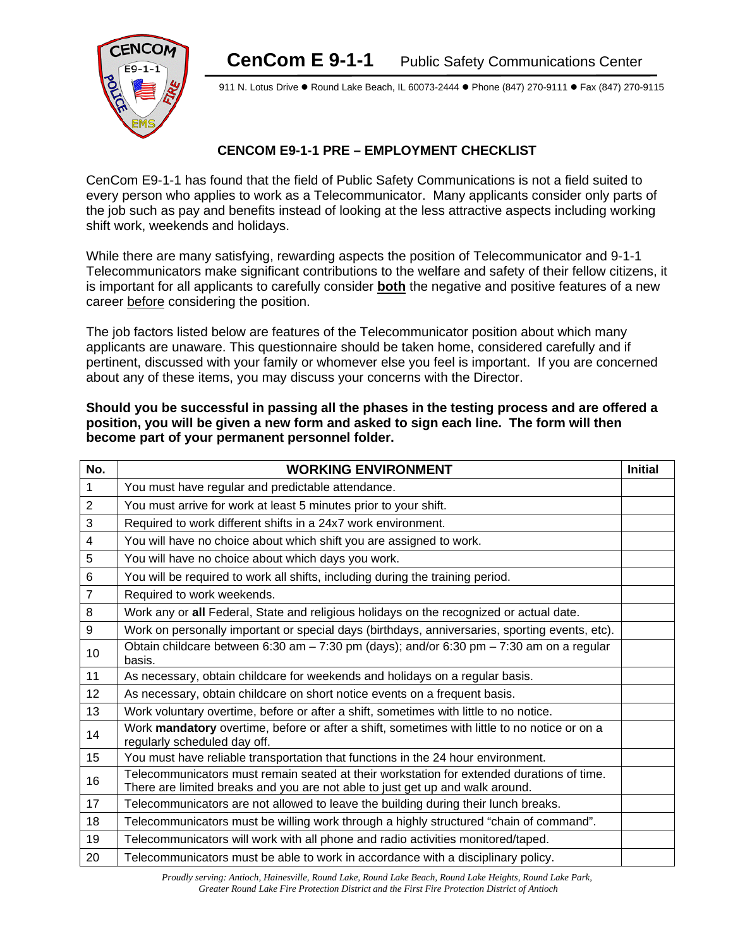

911 N. Lotus Drive . Round Lake Beach, IL 60073-2444 . Phone (847) 270-9111 . Fax (847) 270-9115

#### **CENCOM E9-1-1 PRE – EMPLOYMENT CHECKLIST**

CenCom E9-1-1 has found that the field of Public Safety Communications is not a field suited to every person who applies to work as a Telecommunicator. Many applicants consider only parts of the job such as pay and benefits instead of looking at the less attractive aspects including working shift work, weekends and holidays.

While there are many satisfying, rewarding aspects the position of Telecommunicator and 9-1-1 Telecommunicators make significant contributions to the welfare and safety of their fellow citizens, it is important for all applicants to carefully consider **both** the negative and positive features of a new career before considering the position.

The job factors listed below are features of the Telecommunicator position about which many applicants are unaware. This questionnaire should be taken home, considered carefully and if pertinent, discussed with your family or whomever else you feel is important. If you are concerned about any of these items, you may discuss your concerns with the Director.

| No.            | <b>WORKING ENVIRONMENT</b>                                                                                                                                                 | <b>Initial</b> |
|----------------|----------------------------------------------------------------------------------------------------------------------------------------------------------------------------|----------------|
| $\mathbf{1}$   | You must have regular and predictable attendance.                                                                                                                          |                |
| $\overline{2}$ | You must arrive for work at least 5 minutes prior to your shift.                                                                                                           |                |
| 3              | Required to work different shifts in a 24x7 work environment.                                                                                                              |                |
| $\overline{4}$ | You will have no choice about which shift you are assigned to work.                                                                                                        |                |
| 5              | You will have no choice about which days you work.                                                                                                                         |                |
| 6              | You will be required to work all shifts, including during the training period.                                                                                             |                |
| $\overline{7}$ | Required to work weekends.                                                                                                                                                 |                |
| 8              | Work any or all Federal, State and religious holidays on the recognized or actual date.                                                                                    |                |
| 9              | Work on personally important or special days (birthdays, anniversaries, sporting events, etc).                                                                             |                |
| 10             | Obtain childcare between 6:30 am $-7:30$ pm (days); and/or 6:30 pm $-7:30$ am on a regular<br>basis.                                                                       |                |
| 11             | As necessary, obtain childcare for weekends and holidays on a regular basis.                                                                                               |                |
| 12             | As necessary, obtain childcare on short notice events on a frequent basis.                                                                                                 |                |
| 13             | Work voluntary overtime, before or after a shift, sometimes with little to no notice.                                                                                      |                |
| 14             | Work mandatory overtime, before or after a shift, sometimes with little to no notice or on a<br>regularly scheduled day off.                                               |                |
| 15             | You must have reliable transportation that functions in the 24 hour environment.                                                                                           |                |
| 16             | Telecommunicators must remain seated at their workstation for extended durations of time.<br>There are limited breaks and you are not able to just get up and walk around. |                |
| 17             | Telecommunicators are not allowed to leave the building during their lunch breaks.                                                                                         |                |
| 18             | Telecommunicators must be willing work through a highly structured "chain of command".                                                                                     |                |
| 19             | Telecommunicators will work with all phone and radio activities monitored/taped.                                                                                           |                |
| 20             | Telecommunicators must be able to work in accordance with a disciplinary policy.                                                                                           |                |

**Should you be successful in passing all the phases in the testing process and are offered a position, you will be given a new form and asked to sign each line. The form will then become part of your permanent personnel folder.**

> *Proudly serving: Antioch, Hainesville, Round Lake, Round Lake Beach, Round Lake Heights, Round Lake Park, Greater Round Lake Fire Protection District and the First Fire Protection District of Antioch*